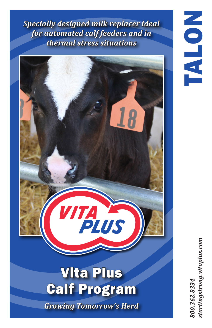*Specially designed milk replacer ideal for automated calf feeders and in thermal stress situations*



*Growing Tomorrow's Herd*

tartingstrong.vitaplus.com *800.362.8334 startingstrong.vitaplus.com*00.362.8334

TALON